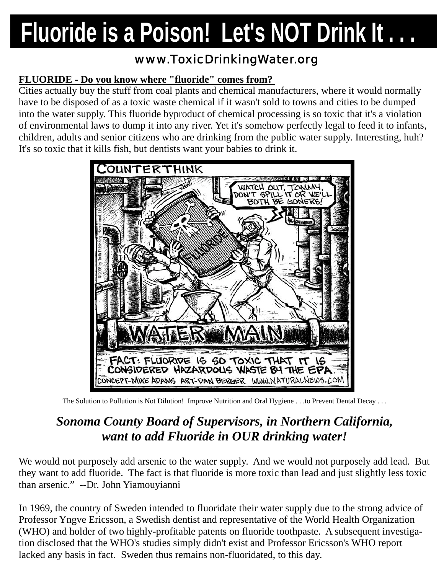# **Fluoride is a Poison! Let's NOT Drink It...**

#### **FLUORIDE - Do you know where "fluoride" comes from?**

Cities actually buy the stuff from coal plants and chemical manufacturers, where it would normally have to be disposed of as a toxic waste chemical if it wasn't sold to towns and cities to be dumped into the water supply. This fluoride byproduct of chemical processing is so toxic that it's a violation of environmental laws to dump it into any river. Yet it's somehow perfectly legal to feed it to infants, children, adults and senior citizens who are drinking from the public water supply. Interesting, huh? It's so toxic that it kills fish, but dentists want your babies to drink it.



The Solution to Pollution is Not Dilution! Improve Nutrition and Oral Hygiene . . .to Prevent Dental Decay . . .

## *Sonoma County Board of Supervisors, in Northern California, want to add Fluoride in OUR drinking water!*

We would not purposely add arsenic to the water supply. And we would not purposely add lead. But they want to add fluoride. The fact is that fluoride is more toxic than lead and just slightly less toxic than arsenic." --Dr. John Yiamouyianni

In 1969, the country of Sweden intended to fluoridate their water supply due to the strong advice of Professor Yngve Ericsson, a Swedish dentist and representative of the World Health Organization (WHO) and holder of two highly-profitable patents on fluoride toothpaste. A subsequent investigation disclosed that the WHO's studies simply didn't exist and Professor Ericsson's WHO report lacked any basis in fact. Sweden thus remains non-fluoridated, to this day.